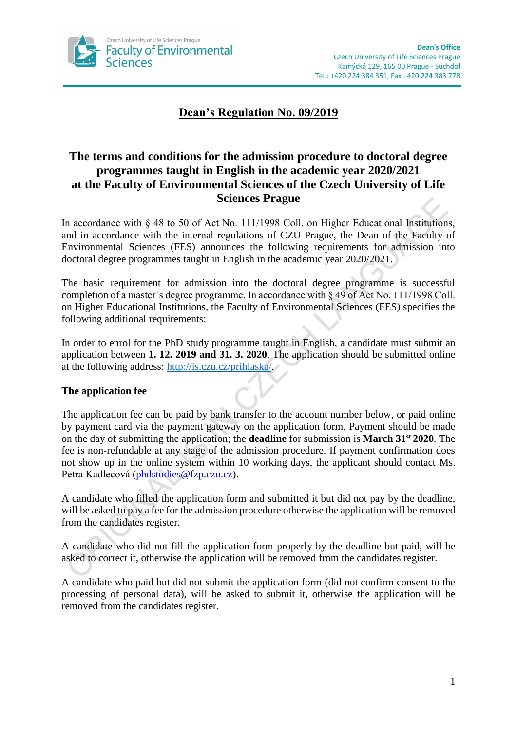

# **Dean's Regulation No. 09/2019**

## **The terms and conditions for the admission procedure to doctoral degree programmes taught in English in the academic year 2020/2021 at the Faculty of Environmental Sciences of the Czech University of Life Sciences Prague**

In accordance with § 48 to 50 of Act No. 111/1998 Coll. on Higher Educational Institutions, and in accordance with the internal regulations of CZU Prague, the Dean of the Faculty of Environmental Sciences (FES) announces the following requirements for admission into doctoral degree programmes taught in English in the academic year 2020/2021.

The basic requirement for admission into the doctoral degree programme is successful completion of a master's degree programme. In accordance with § 49 of Act No. 111/1998 Coll. on Higher Educational Institutions, the Faculty of Environmental Sciences (FES) specifies the following additional requirements:

In order to enrol for the PhD study programme taught in English, a candidate must submit an application between **1. 12. 2019 and 31. 3. 2020**. The application should be submitted online at the following address: [http://is.czu.cz/prihlaska/.](http://is.czu.cz/prihlaska/)

## **The application fee**

The application fee can be paid by bank transfer to the account number below, or paid online by payment card via the payment gateway on the application form. Payment should be made on the day of submitting the application; the **deadline** for submission is **March 31st 2020**. The fee is non-refundable at any stage of the admission procedure. If payment confirmation does not show up in the online system within 10 working days, the applicant should contact Ms. Petra Kadlecová [\(phdstudies@fzp.czu.cz\)](mailto:phdstudies@fzp.czu.cz).

A candidate who filled the application form and submitted it but did not pay by the deadline, will be asked to pay a fee for the admission procedure otherwise the application will be removed from the candidates register.

A candidate who did not fill the application form properly by the deadline but paid, will be asked to correct it, otherwise the application will be removed from the candidates register.

A candidate who paid but did not submit the application form (did not confirm consent to the processing of personal data), will be asked to submit it, otherwise the application will be removed from the candidates register.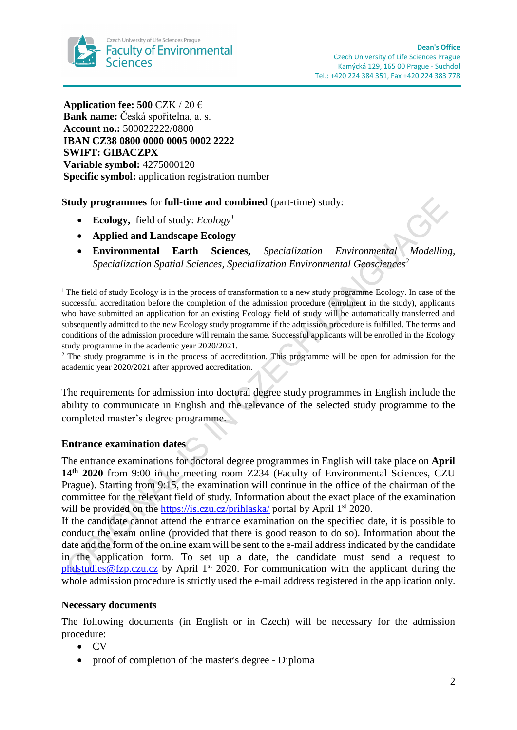

**Application fee: 500** CZK / 20 € **Bank name:** Česká spořitelna, a. s. **Account no.:** 500022222/0800 **IBAN CZ38 0800 0000 0005 0002 2222 SWIFT: GIBACZPX Variable symbol:** 4275000120 **Specific symbol:** application registration number

## **Study programmes** for **full-time and combined** (part-time) study:

- **Ecology,** field of study: *Ecology<sup>1</sup>*
- **Applied and Landscape Ecology**
- **Environmental Earth Sciences,** *Specialization Environmental Modelling, Specialization Spatial Sciences, Specialization Environmental Geosciences<sup>2</sup>*

<sup>1</sup>The field of study Ecology is in the process of transformation to a new study programme Ecology. In case of the successful accreditation before the completion of the admission procedure (enrolment in the study), applicants who have submitted an application for an existing Ecology field of study will be automatically transferred and subsequently admitted to the new Ecology study programme if the admission procedure is fulfilled. The terms and conditions of the admission procedure will remain the same. Successful applicants will be enrolled in the Ecology study programme in the academic year 2020/2021.

<sup>2</sup> The study programme is in the process of accreditation. This programme will be open for admission for the academic year 2020/2021 after approved accreditation.

The requirements for admission into doctoral degree study programmes in English include the ability to communicate in English and the relevance of the selected study programme to the completed master's degree programme.

### **Entrance examination dates**

The entrance examinations for doctoral degree programmes in English will take place on **April 14th 2020** from 9:00 in the meeting room Z234 (Faculty of Environmental Sciences, CZU Prague). Starting from 9:15, the examination will continue in the office of the chairman of the committee for the relevant field of study. Information about the exact place of the examination will be provided on the<https://is.czu.cz/prihlaska/> portal by April 1<sup>st</sup> 2020.

If the candidate cannot attend the entrance examination on the specified date, it is possible to conduct the exam online (provided that there is good reason to do so). Information about the date and the form of the online exam will be sent to the e-mail addressindicated by the candidate in the application form. To set up a date, the candidate must send a request to phdstudies @fzp.czu.cz by April 1<sup>st</sup> 2020. For communication with the applicant during the whole admission procedure is strictly used the e-mail address registered in the application only.

#### **Necessary documents**

The following documents (in English or in Czech) will be necessary for the admission procedure:

- CV
- proof of completion of the master's degree Diploma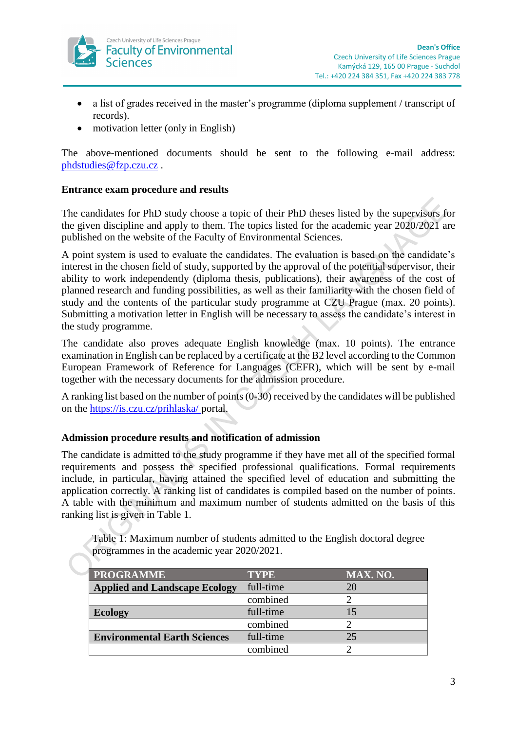

- a list of grades received in the master's programme (diploma supplement / transcript of records).
- motivation letter (only in English)

The above-mentioned documents should be sent to the following e-mail address: [phdstudies@fzp.czu.cz](mailto:phdstudies@fzp.czu.cz) .

## **Entrance exam procedure and results**

The candidates for PhD study choose a topic of their PhD theses listed by the supervisors for the given discipline and apply to them. The topics listed for the academic year 2020/2021 are published on the website of the Faculty of Environmental Sciences.

A point system is used to evaluate the candidates. The evaluation is based on the candidate's interest in the chosen field of study, supported by the approval of the potential supervisor, their ability to work independently (diploma thesis, publications), their awareness of the cost of planned research and funding possibilities, as well as their familiarity with the chosen field of study and the contents of the particular study programme at CZU Prague (max. 20 points). Submitting a motivation letter in English will be necessary to assess the candidate's interest in the study programme.

The candidate also proves adequate English knowledge (max. 10 points). The entrance examination in English can be replaced by a certificate at the B2 level according to the Common European Framework of Reference for Languages (CEFR), which will be sent by e-mail together with the necessary documents for the admission procedure.

A ranking list based on the number of points (0-30) received by the candidates will be published on the<https://is.czu.cz/prihlaska/> portal.

## **Admission procedure results and notification of admission**

The candidate is admitted to the study programme if they have met all of the specified formal requirements and possess the specified professional qualifications. Formal requirements include, in particular, having attained the specified level of education and submitting the application correctly. A ranking list of candidates is compiled based on the number of points. A table with the minimum and maximum number of students admitted on the basis of this ranking list is given in Table 1.

Table 1: Maximum number of students admitted to the English doctoral degree programmes in the academic year 2020/2021.

| <b>PROGRAMME</b>                     | <b>TYPE</b> | MAX. NO. |
|--------------------------------------|-------------|----------|
| <b>Applied and Landscape Ecology</b> | full-time   | 20       |
|                                      | combined    |          |
| <b>Ecology</b>                       | full-time   | 15       |
|                                      | combined    |          |
| <b>Environmental Earth Sciences</b>  | full-time   | 25       |
|                                      | combined    |          |
|                                      |             |          |